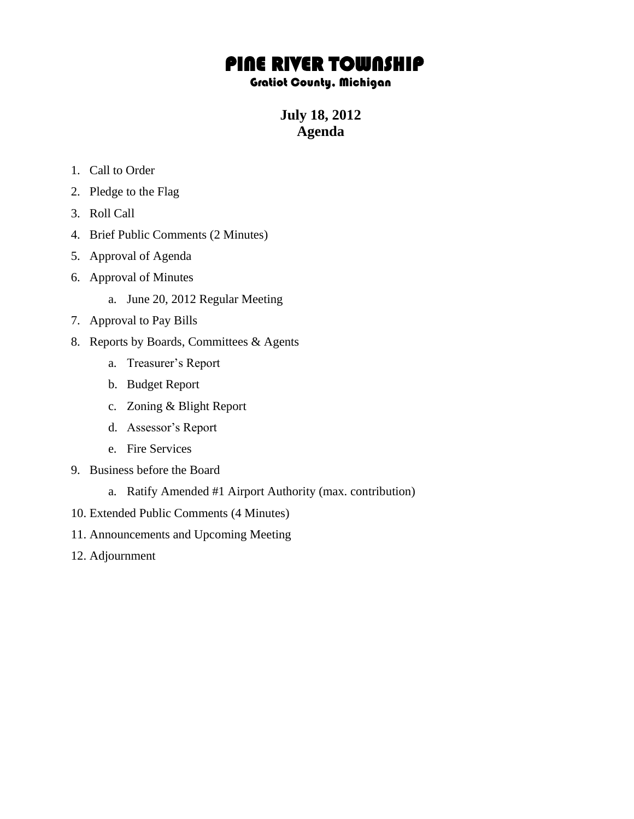# PINE RIVER TOWNSHIP

#### Gratiot County, Michigan

**July 18, 2012 Agenda**

- 1. Call to Order
- 2. Pledge to the Flag
- 3. Roll Call
- 4. Brief Public Comments (2 Minutes)
- 5. Approval of Agenda
- 6. Approval of Minutes
	- a. June 20, 2012 Regular Meeting
- 7. Approval to Pay Bills
- 8. Reports by Boards, Committees & Agents
	- a. Treasurer's Report
	- b. Budget Report
	- c. Zoning & Blight Report
	- d. Assessor's Report
	- e. Fire Services
- 9. Business before the Board
	- a. Ratify Amended #1 Airport Authority (max. contribution)
- 10. Extended Public Comments (4 Minutes)
- 11. Announcements and Upcoming Meeting
- 12. Adjournment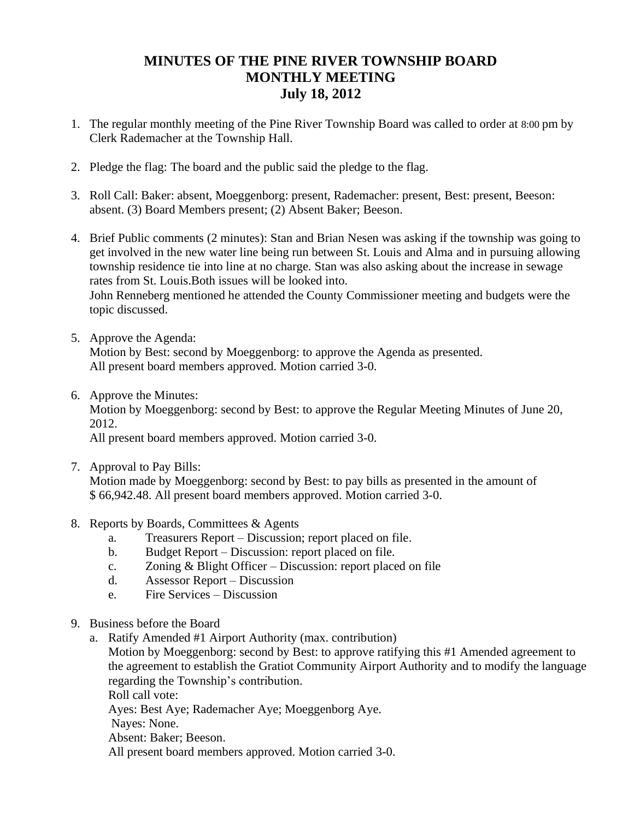## **MINUTES OF THE PINE RIVER TOWNSHIP BOARD MONTHLY MEETING July 18, 2012**

- 1. The regular monthly meeting of the Pine River Township Board was called to order at 8:00 pm by Clerk Rademacher at the Township Hall.
- 2. Pledge the flag: The board and the public said the pledge to the flag.
- 3. Roll Call: Baker: absent, Moeggenborg: present, Rademacher: present, Best: present, Beeson: absent. (3) Board Members present; (2) Absent Baker; Beeson.
- 4. Brief Public comments (2 minutes): Stan and Brian Nesen was asking if the township was going to get involved in the new water line being run between St. Louis and Alma and in pursuing allowing township residence tie into line at no charge. Stan was also asking about the increase in sewage rates from St. Louis.Both issues will be looked into.

John Renneberg mentioned he attended the County Commissioner meeting and budgets were the topic discussed.

- 5. Approve the Agenda: Motion by Best: second by Moeggenborg: to approve the Agenda as presented. All present board members approved. Motion carried 3-0.
- 6. Approve the Minutes: Motion by Moeggenborg: second by Best: to approve the Regular Meeting Minutes of June 20, 2012.

All present board members approved. Motion carried 3-0.

- 7. Approval to Pay Bills: Motion made by Moeggenborg: second by Best: to pay bills as presented in the amount of \$ 66,942.48. All present board members approved. Motion carried 3-0.
- 8. Reports by Boards, Committees & Agents
	- a. Treasurers Report Discussion; report placed on file.
	- b. Budget Report Discussion: report placed on file.
	- c. Zoning & Blight Officer Discussion: report placed on file
	- d. Assessor Report Discussion
	- e. Fire Services Discussion
- 9. Business before the Board
	- a. Ratify Amended #1 Airport Authority (max. contribution)

Motion by Moeggenborg: second by Best: to approve ratifying this #1 Amended agreement to the agreement to establish the Gratiot Community Airport Authority and to modify the language regarding the Township's contribution.

Roll call vote:

Ayes: Best Aye; Rademacher Aye; Moeggenborg Aye.

Nayes: None.

Absent: Baker; Beeson.

All present board members approved. Motion carried 3-0.